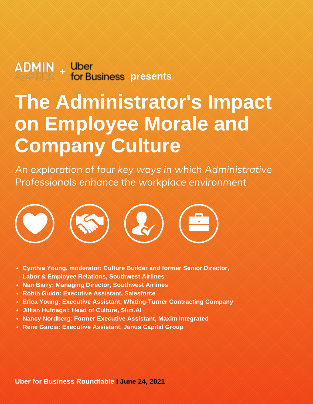# presents

# The Administrator's Impact on Employee Morale and Company Culture

An exploration of the workplace environment Professionals enhance the workplace environment



- Cynthia Young, moderator: Culture Builder and former Senior Director, Labor & Employee Relations, Southwest Airlines
- Nan Barry: Managing Director, Southwest Airlines
- Robin Guido: Executive Assistant, Salesforce
- Erica Young: Executive Assistant, Whiting-Turner Contracting Company
- Jillian Hufnagel: Head of Culture, Slim.AI
- Nancy Nordberg: Former Executive Assistant, Maxim Integrated
- Rene Garcia: Executive Assistant, Janus Capital Group

Uber for Business Roundtable I June 24, 2021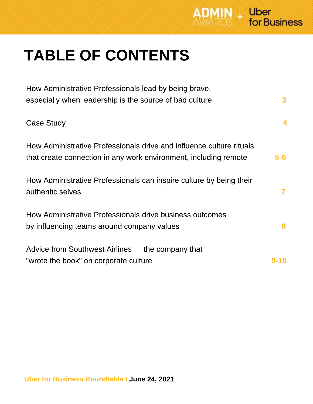

## TABLE OF CONTENTS

| How Administrative Professionals lead by being brave,<br>especially when leadership is the source of bad culture                         | 3     |
|------------------------------------------------------------------------------------------------------------------------------------------|-------|
| Case Study                                                                                                                               | 4     |
| How Administrative Professionals drive and influence culture rituals<br>that create connection in any work environment, including remote | $5-6$ |
| How Administrative Professionals can inspire culture by being their<br>authentic selves                                                  | 7     |
| How Administrative Professionals drive business outcomes<br>by influencing teams around company values                                   | 8     |
| Advice from Southwest Airlines — the company that<br>"wrote the book" on corporate culture                                               |       |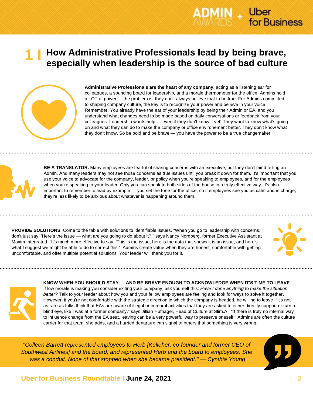



Administrative Professionals are the heart of any company, acting as a listening ear for colleagues, a sounding board for leadership, and a morale thermometer for the office. Admins hold a LOT of power — the problem is, they don't always believe that to be true. For Admins committed to shaping company culture, the key is to recognize your power and believe in your voice. Remember: You already have the ear of your leadership by being their Admin or EA, and you understand what changes need to be made based on daily conversations or feedback from your colleagues. Leadership wants help … even if they don't know it yet! They want to know what's going on and what they can do to make the company or office environement better. They don't know what they don't know. So be bold and be brave — you have the power to be a true changemaker.



BE A TRANSLATOR. Many employees are fearful of sharing concerns with an executive, but they don't mind telling an Admin. And many leaders may not see those concerns as true issues until you break it down for them. It's important that you use your voice to advocate for the company, leader, or policy when you're speaking to employees, and for the employees when you're speaking to your leader. Only you can speak to both sides of the house in a truly effective way. It's also important to remember to lead by example — you set the tone for the office, so if employees see you as calm and in charge, they're less likely to be anxious about whatever is happening around them.

PROVIDE SOLUTIONS. Come to the table with solutions to identifiable issues. "When you go to leadership with concerns, don't just say, 'Here's the issue — what are you going to do about it?," says Nancy Nordberg, former Executive Assistant at Maxim Integrated. "It's much more effective to say, 'This is the issue, here is the data that shows it is an issue, and here's what I suggest we might be able to do to correct this.'" Admins create value when they are honest, comfortable with getting uncomfortable, and offer multiple potential solutions. Your leader will thank you for it.



KNOW WHEN YOU SHOULD STAY — AND BE BRAVE ENOUGH TO ACKNOWLEDGE WHEN IT'S TIME TO LEAVE.

If low morale is making you consider exiting your company, ask yourself this: Have I done anything to make the situation better? Talk to your leader about how you and your fellow employees are feeling and look for ways to solve it together. However, if you're not comfortable with the strategic direction in which the company is headed, be willing to leave. "It's not as rare as folks think that EAs are aware of illegal or immoral activities that they are asked to either directly support or turn a blind eye, like I was at a former company," says Jillian Hufnagel, Head of Culture at Slim.AI. "If there is truly no internal way to influence change from the EA seat, leaving can be a very powerful way to preserve oneself." Admins are often the culture carrier for that team, she adds, and a hurried departure can signal to others that something is very wrong.

"Colleen Barrett represented employees to Herb [Kelleher, co-founder and former CEO of Southwest Airlines] and the board, and represented Herb and the board to employees. She was a conduit. None of that stopped when she became president." — Cynthia Young



Uber

for Business

#### Uber for Business Roundtable I June 24, 2021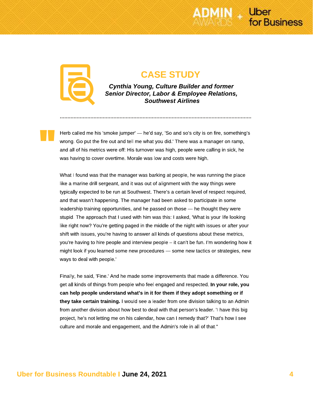

"

### CASE STUDY

Cynthia Young, Culture Builder and former Senior Director, Labor & Employee Relations, Southwest Airlines

Herb called me his 'smoke jumper' — he'd say, 'So and so's city is on fire, something's wrong. Go put the fire out and tell me what you did.' There was a manager on ramp, and all of his metrics were off: His turnover was high, people were calling in sick, he was having to cover overtime. Morale was low and costs were high.

What I found was that the manager was barking at people, he was running the place like a marine drill sergeant, and it was out of alignment with the way things were typically expected to be run at Southwest. There's a certain level of respect required, and that wasn't happening. The manager had been asked to participate in some leadership training opportunities, and he passed on those — he thought they were stupid. The approach that I used with him was this: I asked, 'What is your life looking like right now? You're getting paged in the middle of the night with issues or after your shift with issues, you're having to answer all kinds of questions about these metrics, you're having to hire people and interview people – it can't be fun. I'm wondering how it might look if you learned some new procedures — some new tactics or strategies, new ways to deal with people.'

Finally, he said, 'Fine.' And he made some improvements that made a difference. You get all kinds of things from people who feel engaged and respected. In your role, you can help people understand what's in it for them if they adopt something or if they take certain training. I would see a leader from one division talking to an Admin from another division about how best to deal with that person's leader. 'I have this big project, he's not letting me on his calendar, how can I remedy that?' That's how I see culture and morale and engagement, and the Admin's role in all of that."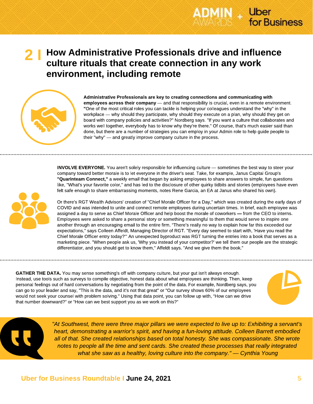

### How Administrative Professionals drive and influence culture rituals that create connection in any work environment, including remote 2 I



Administrative Professionals are key to creating connections and communicating with employees across their company — and that responsibility is crucial, even in a remote environment. "One of the most critical roles you can tackle is helping your colleagues understand the "why" in the workplace — why should they participate, why should they execute on a plan, why should they get on board with company policies and activities?" Nordberg says. "If you want a culture that collaborates and works well together, everybody has to know why they're there." Of course, that's much easier said than done, but there are a number of strategies you can employ in your Admin role to help guide people to their "why" — and greatly improve company culture in the process.

INVOLVE EVERYONE. You aren't solely responsible for influencing culture — sometimes the best way to steer your company toward better morale is to let everyone in the driver's seat. Take, for example, Janus Capital Group's "Quarinteam Connect," a weekly email that began by asking employees to share answers to simple, fun questions like, "What's your favorite color," and has led to the disclosure of other quirky tidbits and stories (employees have even felt safe enough to share embarrassing moments, notes Rene Garcia, an EA at Janus who shared his own).



Or there's RGT Wealth Advisors' creation of "Chief Morale Officer for a Day," which was created during the early days of COVID and was intended to unite and connect remote employees during uncertain times. In brief, each employee was assigned a day to serve as Chief Morale Officer and help boost the morale of coworkers — from the CEO to interns. Employees were asked to share a personal story or something meaningful to them that would serve to inspire one another through an encouraging email to the entire firm. "There's really no way to explain how far this exceeded our expectations," says Colleen Affeldt, Managing Director of RGT. "Every day seemed to start with, 'Have you read the Chief Morale Officer entry today?'" An unexpected byproduct was RGT turning the entries into a book that serves as a marketing piece. "When people ask us, 'Why you instead of your competitor?' we tell them our people are the strategic differentiator, and you should get to know them," Affeldt says. "And we give them the book."

GATHER THE DATA. You may sense something's off with company culture, but your gut isn't always enough. Instead, use tools such as surveys to compile objective, honest data about what employees are thinking. Then, keep personal feelings out of hard conversations by negotiating from the point of the data. For example, Nordberg says, you can go to your leader and say, "This is the data, and it's not that great" or "Our survey shows 60% of our employees would not seek your counsel with problem solving." Using that data point, you can follow up with, "How can we drive that number downward?" or "How can we best support you as we work on this?"





"At Southwest, there were three major pillars we were expected to live up to: Exhibiting a servant's heart, demonstrating a warrior's spirit, and having a fun-loving attitude. Colleen Barrett embodied all of that. She created relationships based on total honesty. She was compassionate. She wrote notes to people all the time and sent cards. She created these processes that really integrated what she saw as a healthy, loving culture into the company." — Cynthia Young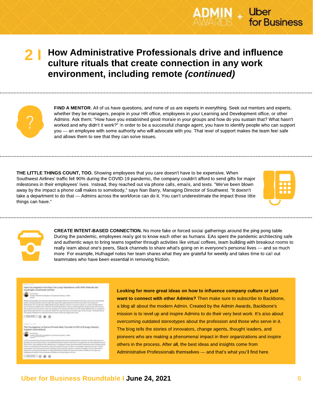

### How Administrative Professionals drive and influence culture rituals that create connection in any work environment, including remote (continued) 2 I



FIND A MENTOR. All of us have questions, and none of us are experts in everything. Seek out mentors and experts, whether they be managers, people in your HR office, employees in your Learning and Development office, or other Admins. Ask them: "How have you established good morale in your groups and how do you sustain that? What hasn't worked and why didn't it work?" In order to be a successful change agent, you have to identify people who can support you — an employee with some authority who will advocate with you. That level of support makes the team feel safe and allows them to see that they can solve issues.

THE LITTLE THINGS COUNT, TOO. Showing employees that you care doesn't have to be expensive. When Southwest Airlines' traffic fell 90% during the COVID-19 pandemic, the company couldn't afford to send gifts for major milestones in their employees' lives. Instead, they reached out via phone calls, emails, and texts. "We've been blown away by the impact a phone call makes to somebody," says Nan Barry, Managing Director of Southwest. "It doesn't take a department to do that — Admins across the workforce can do it. You can't underestimate the impact those little things can have."





CREATE INTENT-BASED CONNECTION. No more fake or forced social gatherings around the ping pong table. During the pandemic, employees really got to know each other as humans. EAs spent the pandemic architecting safe and authentic ways to bring teams together through activities like virtual coffees, team building with breakout rooms to really learn about one's peers, Slack channels to share what's going on in everyone's personal lives — and so much more. For example, Hufnagel notes her team shares what they are grateful for weekly and takes time to call out teammates who have been essential in removing friction.



 $-0.98$ 

......

Looking for more great ideas on how to influence company culture or just want to connect with other Admins? Then make sure to subscribe to Backbone, a blog all about the modern Admin. Created by the Admin Awards, Backbone's mission is to level up and inspire Admins to do their very best work. It's also about overcoming outdated stereotypes about the profession and those who serve in it. The blog tells the stories of innovators, change agents, thought leaders, and pioneers who are making a phenomenal impact in their organizations and inspire others in the process. After all, the best ideas and insights come from Administrative Professionals themselves — and that's what you'll find here.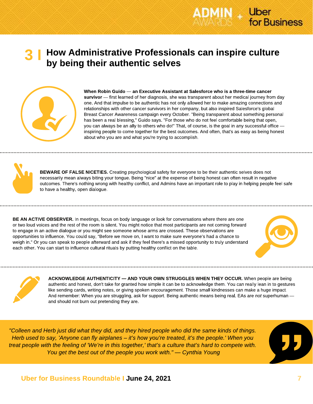



When Robin Guido — an Executive Assistant at Salesforce who is a three-time cancer survivor — first learned of her diagnosis, she was transparent about her medical journey from day one. And that impulse to be authentic has not only allowed her to make amazing connections and relationships with other cancer survivors in her company, but also inspired Salesforce's global Breast Cancer Awareness campaign every October. "Being transparent about something personal has been a real blessing," Guido says. "For those who do not feel comfortable being that open, you can always be an ally to others who do!" That, of course, is the goal in any successful office inspiring people to come together for the best outcomes. And often, that's as easy as being honest about who you are and what you're trying to accomplish.

**AIN** Uber

for Business



BEWARE OF FALSE NICETIES. Creating psychological safety for everyone to be their authentic selves does not necessarily mean always biting your tongue. Being "nice" at the expense of being honest can often result in negative outcomes. There's nothing wrong with healthy conflict, and Admins have an important role to play in helping people feel safe to have a healthy, open dialogue.

BE AN ACTIVE OBSERVER. In meetings, focus on body language or look for conversations where there are one or two loud voices and the rest of the room is silent. You might notice that most participants are not coming forward to engage in an active dialogue or you might see someone whose arms are crossed. These observations are opportunities to influence. You could say, "Before we move on, I want to make sure everyone's had a chance to weigh in." Or you can speak to people afterward and ask if they feel there's a missed opportunity to truly understand each other. You can start to influence cultural rituals by putting healthy conflict on the table.





ACKNOWLEDGE AUTHENTICITY — AND YOUR OWN STRUGGLES WHEN THEY OCCUR. When people are being authentic and honest, don't take for granted how simple it can be to acknowledge them. You can really lean in to gestures like sending cards, writing notes, or giving spoken encouragement. Those small kindnesses can make a huge impact. And remember: When you are struggling, ask for support. Being authentic means being real. EAs are not superhuman and should not burn out pretending they are.

"Colleen and Herb just did what they did, and they hired people who did the same kinds of things. Herb used to say, 'Anyone can fly airplanes – it's how you're treated, it's the people.' When you treat people with the feeling of 'We're in this together,' that's a culture that's hard to compete with. You get the best out of the people you work with." — Cynthia Young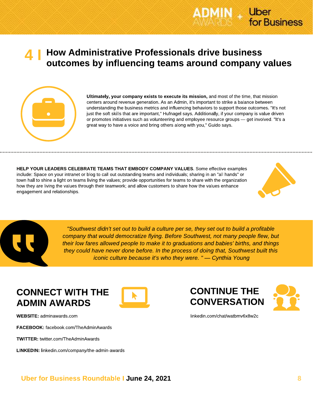



Ultimately, your company exists to execute its mission, and most of the time, that mission centers around revenue generation. As an Admin, it's important to strike a balance between understanding the business metrics and influencing behaviors to support those outcomes. "It's not just the soft skills that are important," Hufnagel says. Additionally, if your company is value driven or promotes initiatives such as volunteering and employee resource groups — get involved. "It's a great way to have a voice and bring others along with you," Guido says.

HELP YOUR LEADERS CELEBRATE TEAMS THAT EMBODY COMPANY VALUES. Some effective examples include: Space on your intranet or blog to call out outstanding teams and individuals; sharing in an "all hands" or town hall to shine a light on teams living the values; provide opportunities for teams to share with the organization how they are living the values through their teamwork; and allow customers to share how the values enhance engagement and relationships.



Uber

for Business



"Southwest didn't set out to build a culture per se, they set out to build a profitable company that would democratize flying. Before Southwest, not many people flew, but their low fares allowed people to make it to graduations and babies' births, and things they could have never done before. In the process of doing that, Southwest built this iconic culture because it's who they were. " — Cynthia Young

## CONNECT WITH THE ADMIN AWARDS

WEBSITE: adminawards.com

FACEBOOK: facebook.com/TheAdminAwards

TWITTER: twitter.com/TheAdminAwards

LINKEDIN: linkedin.com/company/the-admin-awards







linkedin.com/chat/watbmv6x8w2c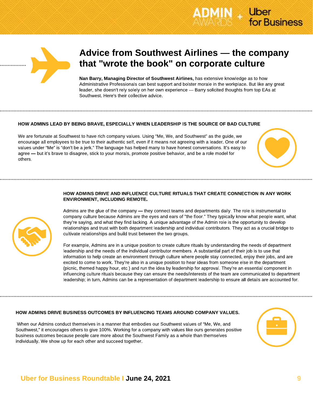



## Advice from Southwest Airlines — the company that "wrote the book" on corporate culture

Nan Barry, Managing Director of Southwest Airlines, has extensive knowledge as to how Administrative Professionals can best support and bolster morale in the workplace. But like any great leader, she doesn't rely solely on her own experience — Barry solicited thoughts from top EAs at Southwest. Here's their collective advice.

#### HOW ADMINS LEAD BY BEING BRAVE, ESPECIALLY WHEN LEADERSHIP IS THE SOURCE OF BAD CULTURE

We are fortunate at Southwest to have rich company values. Using "Me, We, and Southwest" as the guide, we encourage all employees to be true to their authentic self, even if it means not agreeing with a leader. One of our values under "Me" is "don't be a jerk." The language has helped many to have honest conversations. It's easy to agree — but it's brave to disagree, stick to your morals, promote positive behavior, and be a role model for others.

#### HOW ADMINS DRIVE AND INFLUENCE CULTURE RITUALS THAT CREATE CONNECTION IN ANY WORK ENVIRONMENT, INCLUDING REMOTE.

Admins are the glue of the company — they connect teams and departments daily. The role is instrumental to company culture because Admins are the eyes and ears of "the floor." They typically know what people want, what they're saying, and what they find lacking. A unique advantage of the Admin role is the opportunity to develop relationships and trust with both department leadership and individual contributors. They act as a crucial bridge to cultivate relationships and build trust between the two groups.

For example, Admins are in a unique position to create culture rituals by understanding the needs of department leadership and the needs of the individual contributor members. A substantial part of their job is to use that information to help create an environment through culture where people stay connected, enjoy their jobs, and are excited to come to work. They're also in a unique position to hear ideas from someone else in the department (picnic, themed happy hour, etc.) and run the idea by leadership for approval. They're an essential component in influencing culture rituals because they can ensure the needs/interests of the team are communicated to department leadership; in turn, Admins can be a representation of department leadership to ensure all details are accounted for.

#### HOW ADMINS DRIVE BUSINESS OUTCOMES BY INFLUENCING TEAMS AROUND COMPANY VALUES.

 When our Admins conduct themselves in a manner that embodies our Southwest values of "Me, We, and Southwest," it encourages others to give 100%. Working for a company with values like ours generates positive business outcomes because people care more about the Southwest Family as a whole than themselves individually. We show up for each other and succeed together.